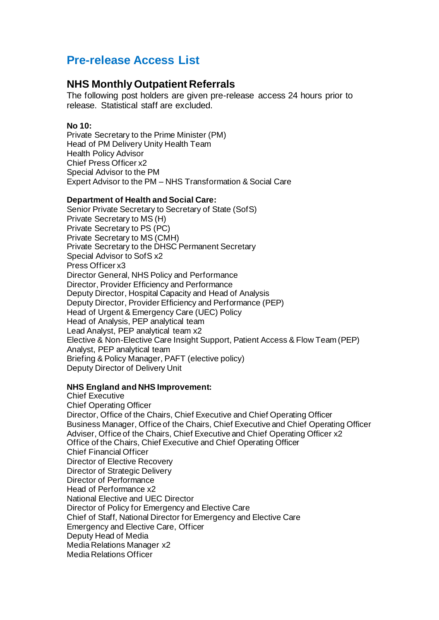# **Pre-release Access List**

# **NHS Monthly Outpatient Referrals**

The following post holders are given pre-release access 24 hours prior to release. Statistical staff are excluded.

#### **No 10:**

Private Secretary to the Prime Minister (PM) Head of PM Delivery Unity Health Team Health Policy Advisor Chief Press Officer x2 Special Advisor to the PM Expert Advisor to the PM – NHS Transformation & Social Care

## **Department of Health and Social Care:**

Senior Private Secretary to Secretary of State (SofS) Private Secretary to MS (H) Private Secretary to PS (PC) Private Secretary to MS (CMH) Private Secretary to the DHSC Permanent Secretary Special Advisor to SofS x2 Press Officer x3 Director General, NHS Policy and Performance Director, Provider Efficiency and Performance Deputy Director, Hospital Capacity and Head of Analysis Deputy Director, Provider Efficiency and Performance (PEP) Head of Urgent & Emergency Care (UEC) Policy Head of Analysis, PEP analytical team Lead Analyst, PEP analytical team x2 Elective & Non-Elective Care Insight Support, Patient Access & Flow Team (PEP) Analyst, PEP analytical team Briefing & Policy Manager, PAFT (elective policy) Deputy Director of Delivery Unit

## **NHS England and NHS Improvement:**

Chief Executive Chief Operating Officer Director, Office of the Chairs, Chief Executive and Chief Operating Officer Business Manager, Office of the Chairs, Chief Executive and Chief Operating Officer Adviser, Office of the Chairs, Chief Executive and Chief Operating Officer x2 Office of the Chairs, Chief Executive and Chief Operating Officer Chief Financial Officer Director of Elective Recovery Director of Strategic Delivery Director of Performance Head of Performance x2 National Elective and UEC Director Director of Policy for Emergency and Elective Care Chief of Staff, National Director for Emergency and Elective Care Emergency and Elective Care, Officer Deputy Head of Media Media Relations Manager x2 Media Relations Officer